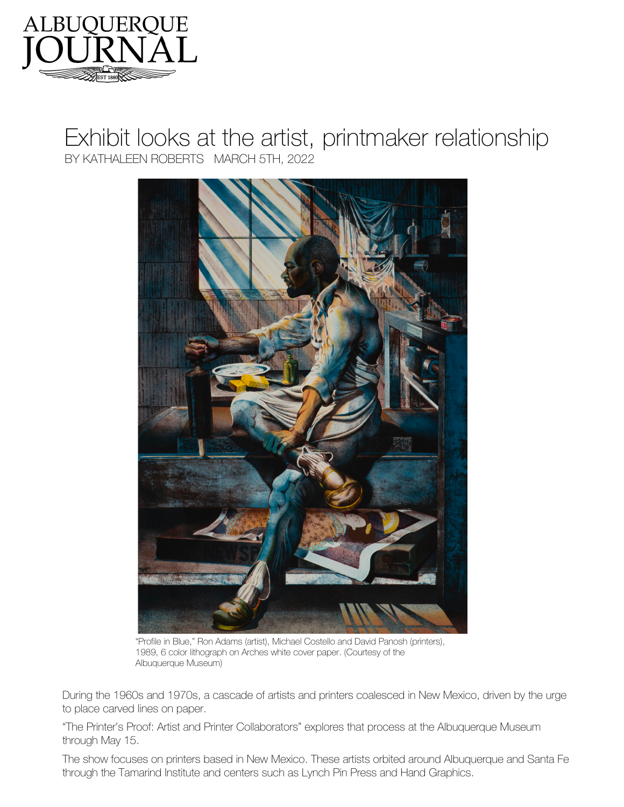

## Exhibit looks at the artist, printmaker relationship BY KATHALEEN ROBERTS MARCH 5TH, 2022



"Profile in Blue," Ron Adams (artist), Michael Costello and David Panosh (printers), 1989, 6 color lithograph on Arches white cover paper. (Courtesy of the Albuquerque Museum)

During the 1960s and 1970s, a cascade of artists and printers coalesced in New Mexico, driven by the urge to place carved lines on paper.

"The Printer's Proof: Artist and Printer Collaborators" explores that process at the Albuquerque Museum through May 15.

The show focuses on printers based in New Mexico. These artists orbited around Albuquerque and Santa Fe through the Tamarind Institute and centers such as Lynch Pin Press and Hand Graphics.